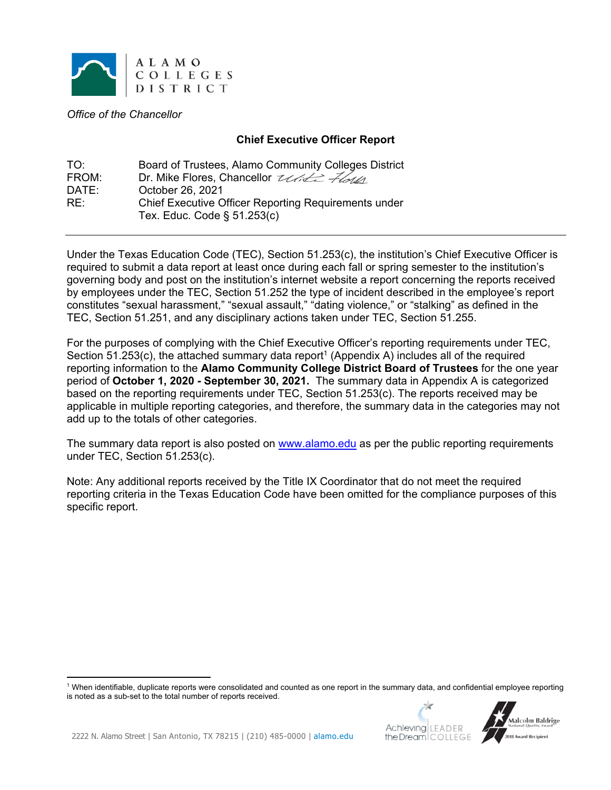

*Office of the Chancellor* 

## **Chief Executive Officer Report**

| TO <sup>.</sup> | Board of Trustees, Alamo Community Colleges District        |
|-----------------|-------------------------------------------------------------|
| FROM:           | Dr. Mike Flores, Chancellor <i>Utile Flotta</i>             |
| DATE:           | October 26, 2021                                            |
| RE:             | <b>Chief Executive Officer Reporting Requirements under</b> |
|                 | Tex. Educ. Code $\S$ 51.253(c)                              |

Under the Texas Education Code (TEC), Section 51.253(c), the institution's Chief Executive Officer is required to submit a data report at least once during each fall or spring semester to the institution's governing body and post on the institution's internet website a report concerning the reports received by employees under the TEC, Section 51.252 the type of incident described in the employee's report constitutes "sexual harassment," "sexual assault," "dating violence," or "stalking" as defined in the TEC, Section 51.251, and any disciplinary actions taken under TEC, Section 51.255.

For the purposes of complying with the Chief Executive Officer's reporting requirements under TEC, Section 51.253(c), the attached summary data report<sup>1</sup> (Appendix A) includes all of the required reporting information to the **Alamo Community College District Board of Trustees** for the one year period of **October 1, 2020 - September 30, 2021.** The summary data in Appendix A is categorized based on the reporting requirements under TEC, Section 51.253(c). The reports received may be applicable in multiple reporting categories, and therefore, the summary data in the categories may not add up to the totals of other categories.

The summary data report is also posted on www.alamo.edu as per the public reporting requirements under TEC, Section 51.253(c).

Note: Any additional reports received by the Title IX Coordinator that do not meet the required reporting criteria in the Texas Education Code have been omitted for the compliance purposes of this specific report.

<sup>1</sup> When identifiable, duplicate reports were consolidated and counted as one report in the summary data, and confidential employee reporting is noted as a sub-set to the total number of reports received.